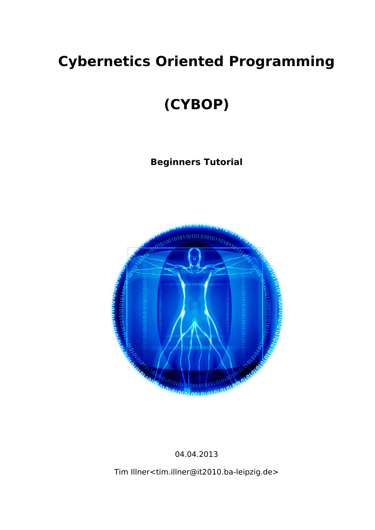# **Cybernetics Oriented Programming**

# **(CYBOP)**

**Beginners Tutorial**



# 04.04.2013

Tim Illner<tim.illner@it2010.ba-leipzig.de>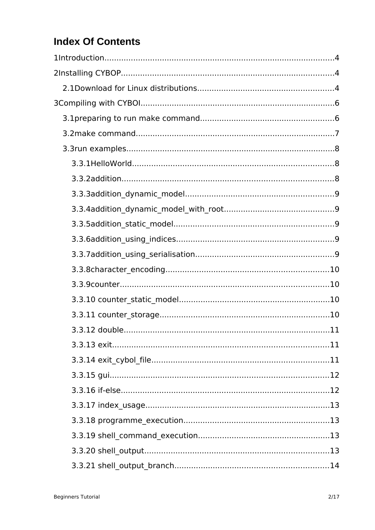# **Index Of Contents**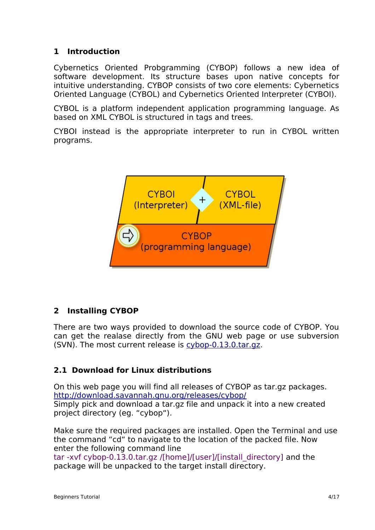# <span id="page-3-0"></span>**1 Introduction**

Cybernetics Oriented Probgramming (CYBOP) follows a new idea of software development. Its structure bases upon native concepts for intuitive understanding. CYBOP consists of two core elements: Cybernetics Oriented Language (CYBOL) and Cybernetics Oriented Interpreter (CYBOI).

CYBOL is a platform independent application programming language. As based on XML CYBOL is structured in tags and trees.

CYBOI instead is the appropriate interpreter to run in CYBOL written programs.



# <span id="page-3-2"></span>**2 Installing CYBOP**

There are two ways provided to download the source code of CYBOP. You can get the realase directly from the GNU web page or use subversion (SVN). The most current release is [cybop-0.13.0.tar.gz.](http://download.savannah.gnu.org/releases/cybop/cybop-0.13.0.tar.gz)

# <span id="page-3-1"></span>**2.1 Download for Linux distributions**

On this web page you will find all releases of CYBOP as tar.gz packages. <http://download.savannah.gnu.org/releases/cybop/> Simply pick and download a tar.gz file and unpack it into a new created project directory (eg. "cybop").

Make sure the required packages are installed. Open the Terminal and use the command "cd" to navigate to the location of the packed file. Now enter the following command line

tar -xvf cybop-0.13.0.tar.gz /[home]/[user]/[install\_directory] and the package will be unpacked to the target install directory.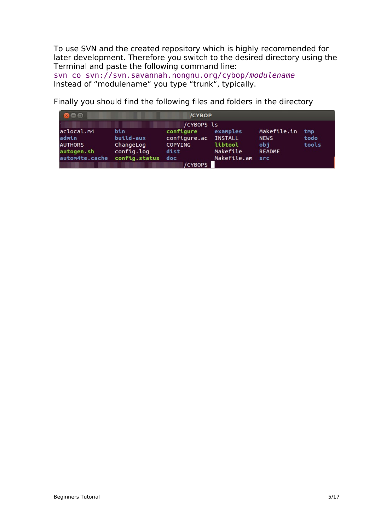To use SVN and the created repository which is highly recommended for later development. Therefore you switch to the desired directory using the Terminal and paste the following command line:

svn co svn://svn.savannah.nongnu.org/cybop/*modulename* Instead of "modulename" you type "trunk", typically.

**/СҮВОР** 880 /CYBOP\$ ls configure aclocal.m4 bin examples Makefile.in tmp admin build-aux **INSTALL NEWS** todo configure.ac **AUTHORS** ChangeLog COPYING libtool  $obj$ tools Makefile **README** autogen.sh config.log dist autom4te.cache config.status doc Makefile.am **SFC** /CYBOPS

Finally you should find the following files and folders in the directory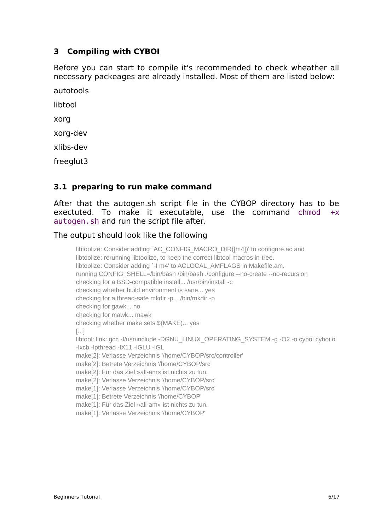#### <span id="page-5-1"></span>**3 Compiling with CYBOI**

Before you can start to compile it's recommended to check wheather all necessary packeages are already installed. Most of them are listed below:

autotools

libtool

xorg

xorg-dev

xlibs-dev

freeglut3

#### <span id="page-5-0"></span>**3.1 preparing to run make command**

After that the autogen.sh script file in the CYBOP directory has to be exectuted. To make it executable, use the command chmod +x autogen.sh and run the script file after.

The output should look like the following

libtoolize: Consider adding `AC\_CONFIG\_MACRO\_DIR([m4])' to configure.ac and libtoolize: rerunning libtoolize, to keep the correct libtool macros in-tree. libtoolize: Consider adding `-I m4' to ACLOCAL\_AMFLAGS in Makefile.am. running CONFIG\_SHELL=/bin/bash /bin/bash ./configure --no-create --no-recursion checking for a BSD-compatible install... /usr/bin/install -c checking whether build environment is sane... yes checking for a thread-safe mkdir -p... /bin/mkdir -p checking for gawk... no checking for mawk... mawk checking whether make sets \$(MAKE)... yes [...] libtool: link: gcc -I/usr/include -DGNU\_LINUX\_OPERATING\_SYSTEM -g -O2 -o cyboi cyboi.o -lxcb -lpthread -lX11 -lGLU -lGL make[2]: Verlasse Verzeichnis '/home/CYBOP/src/controller' make[2]: Betrete Verzeichnis '/home/CYBOP/src' make[2]: Für das Ziel »all-am« ist nichts zu tun. make[2]: Verlasse Verzeichnis '/home/CYBOP/src' make[1]: Verlasse Verzeichnis '/home/CYBOP/src' make[1]: Betrete Verzeichnis '/home/CYBOP' make[1]: Für das Ziel »all-am« ist nichts zu tun. make[1]: Verlasse Verzeichnis '/home/CYBOP'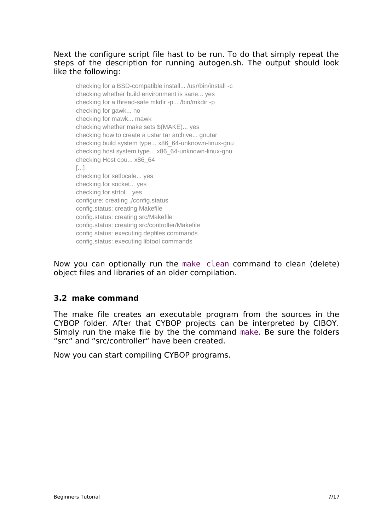#### Next the configure script file hast to be run. To do that simply repeat the steps of the description for running autogen.sh. The output should look like the following:

checking for a BSD-compatible install... /usr/bin/install -c checking whether build environment is sane... yes checking for a thread-safe mkdir -p... /bin/mkdir -p checking for gawk... no checking for mawk... mawk checking whether make sets \$(MAKE)... yes checking how to create a ustar tar archive... gnutar checking build system type... x86\_64-unknown-linux-gnu checking host system type... x86\_64-unknown-linux-gnu checking Host cpu... x86\_64 [...] checking for setlocale... yes checking for socket... yes checking for strtol... yes configure: creating ./config.status config.status: creating Makefile config.status: creating src/Makefile config.status: creating src/controller/Makefile config.status: executing depfiles commands config.status: executing libtool commands

Now you can optionally run the make clean command to clean (delete) object files and libraries of an older compilation.

# <span id="page-6-0"></span>**3.2 make command**

The make file creates an executable program from the sources in the CYBOP folder. After that CYBOP projects can be interpreted by CIBOY. Simply run the make file by the the command make. Be sure the folders "src" and "src/controller" have been created.

Now you can start compiling CYBOP programs.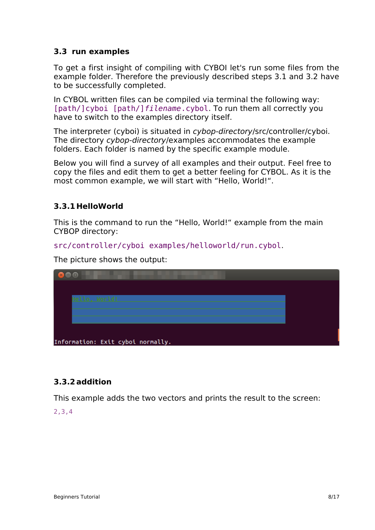# <span id="page-7-2"></span>**3.3 run examples**

To get a first insight of compiling with CYBOI let's run some files from the example folder. Therefore the previously described steps 3.1 and 3.2 have to be successfully completed.

In CYBOL written files can be compiled via terminal the following way: [path/]cyboi [path/]*filename*.cybol. To run them all correctly you have to switch to the examples directory itself.

The interpreter (cyboi) is situated in cybop-directory/src/controller/cyboi. The directory cybop-directory/examples accommodates the example folders. Each folder is named by the specific example module.

Below you will find a survey of all examples and their output. Feel free to copy the files and edit them to get a better feeling for CYBOL. As it is the most common example, we will start with "Hello, World!".

# <span id="page-7-1"></span>**3.3.1 HelloWorld**

This is the command to run the "Hello, World!" example from the main CYBOP directory:

src/controller/cyboi examples/helloworld/run.cybol.

The picture shows the output:

| 90                                |  |
|-----------------------------------|--|
|                                   |  |
| Hello, World!                     |  |
|                                   |  |
|                                   |  |
|                                   |  |
| Information: Exit cyboi normally. |  |

# <span id="page-7-0"></span>**3.3.2addition**

This example adds the two vectors and prints the result to the screen:

2,3,4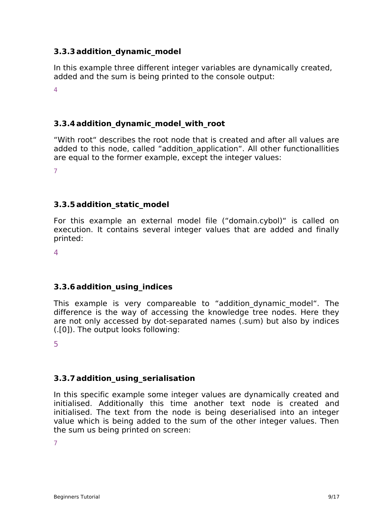# <span id="page-8-4"></span>**3.3.3addition\_dynamic\_model**

In this example three different integer variables are dynamically created, added and the sum is being printed to the console output:

 $\overline{\mathbf{A}}$ 

# <span id="page-8-3"></span>**3.3.4addition\_dynamic\_model\_with\_root**

"With root" describes the root node that is created and after all values are added to this node, called "addition application". All other functionallities are equal to the former example, except the integer values:

7

#### <span id="page-8-2"></span>**3.3.5addition\_static\_model**

For this example an external model file ("domain.cybol)" is called on execution. It contains several integer values that are added and finally printed:

4

# <span id="page-8-1"></span>**3.3.6addition\_using\_indices**

This example is very compareable to "addition dynamic model". The difference is the way of accessing the knowledge tree nodes. Here they are not only accessed by dot-separated names (.sum) but also by indices (.[0]). The output looks following:

5

# <span id="page-8-0"></span>**3.3.7addition\_using\_serialisation**

In this specific example some integer values are dynamically created and initialised. Additionally this time another text node is created and initialised. The text from the node is being deserialised into an integer value which is being added to the sum of the other integer values. Then the sum us being printed on screen:

7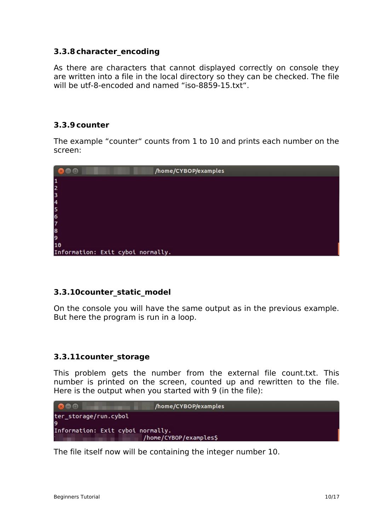# <span id="page-9-3"></span>**3.3.8character\_encoding**

As there are characters that cannot displayed correctly on console they are written into a file in the local directory so they can be checked. The file will be utf-8-encoded and named "iso-8859-15.txt".

# <span id="page-9-2"></span>**3.3.9counter**

The example "counter" counts from 1 to 10 and prints each number on the screen:

| $\neg$ $\Box$                     | /home/CYBOP/examples |
|-----------------------------------|----------------------|
| $\mathbf{1}$                      |                      |
| $\overline{2}$                    |                      |
| 3                                 |                      |
| 14                                |                      |
| 5                                 |                      |
| 6                                 |                      |
| 7                                 |                      |
| 8                                 |                      |
| 19                                |                      |
| 10                                |                      |
| Information: Exit cyboi normally. |                      |

# <span id="page-9-1"></span>**3.3.10counter\_static\_model**

On the console you will have the same output as in the previous example. But here the program is run in a loop.

#### <span id="page-9-0"></span>**3.3.11counter\_storage**

This problem gets the number from the external file count.txt. This number is printed on the screen, counted up and rewritten to the file. Here is the output when you started with 9 (in the file):



The file itself now will be containing the integer number 10.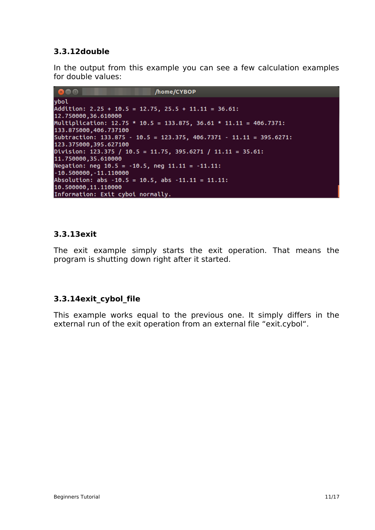# <span id="page-10-2"></span>**3.3.12double**

In the output from this example you can see a few calculation examples for double values:

```
800 L
                            /home/CYBOP
ybol
Addition: 2.25 + 10.5 = 12.75, 25.5 + 11.11 = 36.61:
12.750000,36.610000
Multiplication: 12.75 * 10.5 = 133.875, 36.61 * 11.11 = 406.7371:
133.875000.406.737100
Subtraction: 133.875 - 10.5 = 123.375, 406.7371 - 11.11 = 395.6271:
123.375000,395.627100
Division: 123.375 / 10.5 = 11.75, 395.6271 / 11.11 = 35.61:
11.750000,35.610000
Negation: neg 10.5 = -10.5, neg 11.11 = -11.11:
-10.500000, -11.110000Absolution: abs -10.5 = 10.5, abs -11.11 = 11.11:
10.500000,11.110000
Information: Exit cyboi normally.
```
#### <span id="page-10-1"></span>**3.3.13exit**

The exit example simply starts the exit operation. That means the program is shutting down right after it started.

# <span id="page-10-0"></span>**3.3.14exit\_cybol\_file**

This example works equal to the previous one. It simply differs in the external run of the exit operation from an external file "exit.cybol".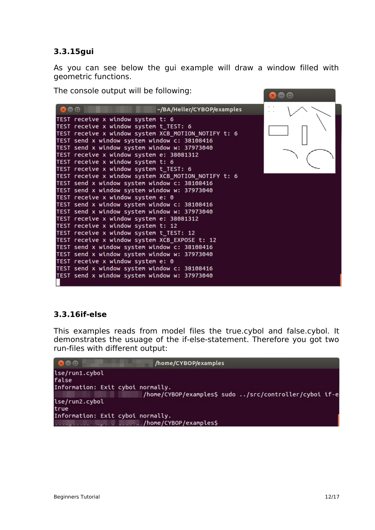# <span id="page-11-1"></span>**3.3.15gui**

As you can see below the gui example will draw a window filled with geometric functions.

The console output will be following:



# <span id="page-11-0"></span>**3.3.16if-else**

This examples reads from model files the true.cybol and false.cybol. It demonstrates the usuage of the if-else-statement. Therefore you got two run-files with different output:

| <b>Bee</b>                        | /home/CYBOP/examples                                   |
|-----------------------------------|--------------------------------------------------------|
| lse/run1.cybol<br>false           |                                                        |
| Information: Exit cyboi normally. |                                                        |
|                                   | /home/CYBOP/examples\$ sudo /src/controller/cyboi if-e |
| lse/run2.cybol                    |                                                        |
| true                              |                                                        |
| Information: Exit cyboi normally. |                                                        |
|                                   | /home/CYBOP/examples\$                                 |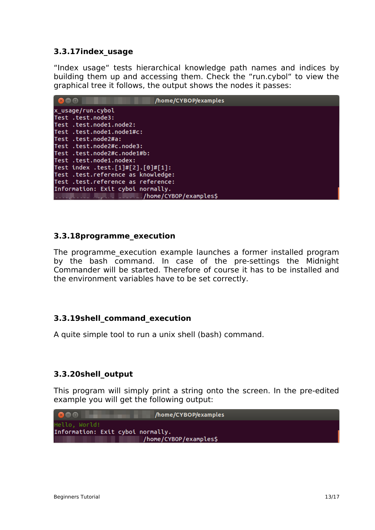# <span id="page-12-3"></span>**3.3.17index\_usage**

"Index usage" tests hierarchical knowledge path names and indices by building them up and accessing them. Check the "run.cybol" to view the graphical tree it follows, the output shows the nodes it passes:

| $\bullet$ $\bullet$ $\bullet$                     | /home/CYBOP/examples   |
|---------------------------------------------------|------------------------|
| x_usage/run.cybol                                 |                        |
| Test .test.node3:                                 |                        |
| Test.test.node1.node2:                            |                        |
| Test .test.node1.node1#c:                         |                        |
| Test .test.node2#a:                               |                        |
| Test .test.node2#c.node3:                         |                        |
| Test .test.node2#c.node1#b:                       |                        |
| Test .test.node1.nodex:                           |                        |
| Test index .test. $[1]$ # $[2]$ . $[0]$ # $[1]$ : |                        |
| Test .test.reference as knowledge:                |                        |
| Test .test.reference as reference:                |                        |
| Information: Exit cyboi normally.                 |                        |
|                                                   | /home/CYBOP/examples\$ |

#### <span id="page-12-2"></span>**3.3.18programme\_execution**

The programme execution example launches a former installed program by the bash command. In case of the pre-settings the Midnight Commander will be started. Therefore of course it has to be installed and the environment variables have to be set correctly.

# <span id="page-12-1"></span>**3.3.19shell\_command\_execution**

A quite simple tool to run a unix shell (bash) command.

# <span id="page-12-0"></span>**3.3.20shell\_output**

This program will simply print a string onto the screen. In the pre-edited example you will get the following output:

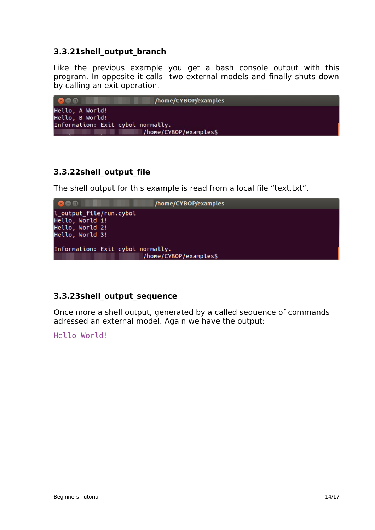# <span id="page-13-0"></span>**3.3.21shell\_output\_branch**

Like the previous example you get a bash console output with this program. In opposite it calls two external models and finally shuts down by calling an exit operation.



# <span id="page-13-2"></span>**3.3.22shell\_output\_file**

The shell output for this example is read from a local file "text.txt".



# <span id="page-13-1"></span>**3.3.23shell\_output\_sequence**

Once more a shell output, generated by a called sequence of commands adressed an external model. Again we have the output:

Hello World!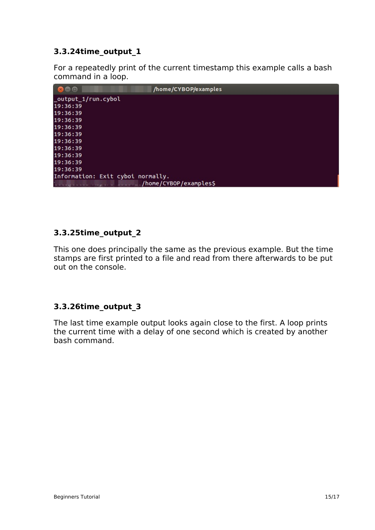# <span id="page-14-2"></span>**3.3.24time\_output\_1**

For a repeatedly print of the current timestamp this example calls a bash command in a loop.

| $(x)$ $\ominus$ $\oplus$          | /home/CYBOP/examples   |
|-----------------------------------|------------------------|
| _output_1/run.cybol               |                        |
| 19:36:39                          |                        |
| 19:36:39                          |                        |
| 19:36:39                          |                        |
| 19:36:39                          |                        |
| 19:36:39                          |                        |
| 19:36:39                          |                        |
| 19:36:39                          |                        |
| 19:36:39                          |                        |
| 19:36:39                          |                        |
| 19:36:39                          |                        |
| Information: Exit cyboi normally. |                        |
|                                   | /home/CYBOP/examples\$ |

# <span id="page-14-1"></span>**3.3.25time\_output\_2**

This one does principally the same as the previous example. But the time stamps are first printed to a file and read from there afterwards to be put out on the console.

# <span id="page-14-0"></span>**3.3.26time\_output\_3**

The last time example output looks again close to the first. A loop prints the current time with a delay of one second which is created by another bash command.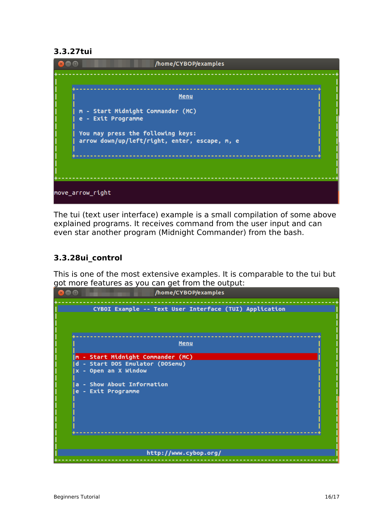#### <span id="page-15-1"></span>**3.3.27tui**



The tui (text user interface) example is a small compilation of some above explained programs. It receives command from the user input and can even star another program (Midnight Commander) from the bash.

# <span id="page-15-0"></span>**3.3.28ui\_control**

This is one of the most extensive examples. It is comparable to the tui but got more features as you can get from the output: